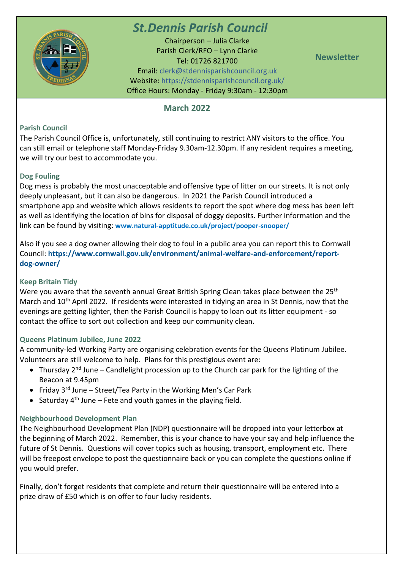

# *St.Dennis Parish Council*

Chairperson – Julia Clarke Parish Clerk/RFO – Lynn Clarke Tel: 01726 821700 Email: [clerk@stdennisparishcouncil.org.uk](mailto:clerk@stdennisparishcouncil.org.uk) Website: https://stdennisparishcouncil.org.uk/ Office Hours: Monday - Friday 9:30am - 12:30pm

**Newsletter**

## **March 2022**

## **Parish Council**

The Parish Council Office is, unfortunately, still continuing to restrict ANY visitors to the office. You can still email or telephone staff Monday-Friday 9.30am-12.30pm. If any resident requires a meeting, we will try our best to accommodate you.

## **Dog Fouling**

Dog mess is probably the most unacceptable and offensive type of litter on our streets. It is not only deeply unpleasant, but it can also be dangerous. In 2021 the Parish Council introduced a smartphone app and website which allows residents to report the spot where dog mess has been left as well as identifying the location of bins for disposal of doggy deposits. Further information and the link can be found by visiting: **[www.natural-apptitude.co.uk/project/pooper-snooper/](http://www.natural-apptitude.co.uk/project/pooper-snooper/)**

Also if you see a dog owner allowing their dog to foul in a public area you can report this to Cornwall Council: **[https://www.cornwall.gov.uk/environment/animal-welfare-and-enforcement/report](https://www.cornwall.gov.uk/environment/animal-welfare-and-enforcement/report-dog-owner/)[dog-owner/](https://www.cornwall.gov.uk/environment/animal-welfare-and-enforcement/report-dog-owner/)**

#### **Keep Britain Tidy**

Were you aware that the seventh annual Great British Spring Clean takes place between the 25<sup>th</sup> March and 10<sup>th</sup> April 2022. If residents were interested in tidying an area in St Dennis, now that the evenings are getting lighter, then the Parish Council is happy to loan out its litter equipment - so contact the office to sort out collection and keep our community clean.

#### **Queens Platinum Jubilee, June 2022**

A community-led Working Party are organising celebration events for the Queens Platinum Jubilee. Volunteers are still welcome to help. Plans for this prestigious event are:

- Thursday  $2^{nd}$  June Candlelight procession up to the Church car park for the lighting of the Beacon at 9.45pm
- Friday  $3^{rd}$  June Street/Tea Party in the Working Men's Car Park
- Saturday  $4<sup>th</sup>$  June Fete and youth games in the playing field.

#### **Neighbourhood Development Plan**

The Neighbourhood Development Plan (NDP) questionnaire will be dropped into your letterbox at the beginning of March 2022. Remember, this is your chance to have your say and help influence the future of St Dennis. Questions will cover topics such as housing, transport, employment etc. There will be freepost envelope to post the questionnaire back or you can complete the questions online if you would prefer.

Finally, don't forget residents that complete and return their questionnaire will be entered into a prize draw of £50 which is on offer to four lucky residents.